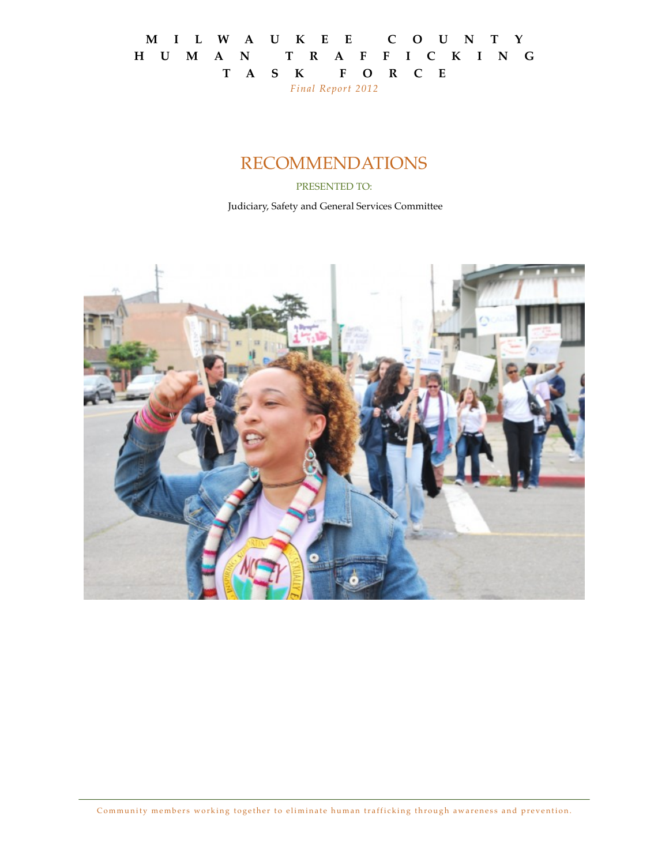#### **M I L W A U K E E C O U N T Y H U M A N T R A F F I C K I N G T A S K F O R C E**  *Final Report 2012*

### RECOMMENDATIONS

PRESENTED TO:

Judiciary, Safety and General Services Committee

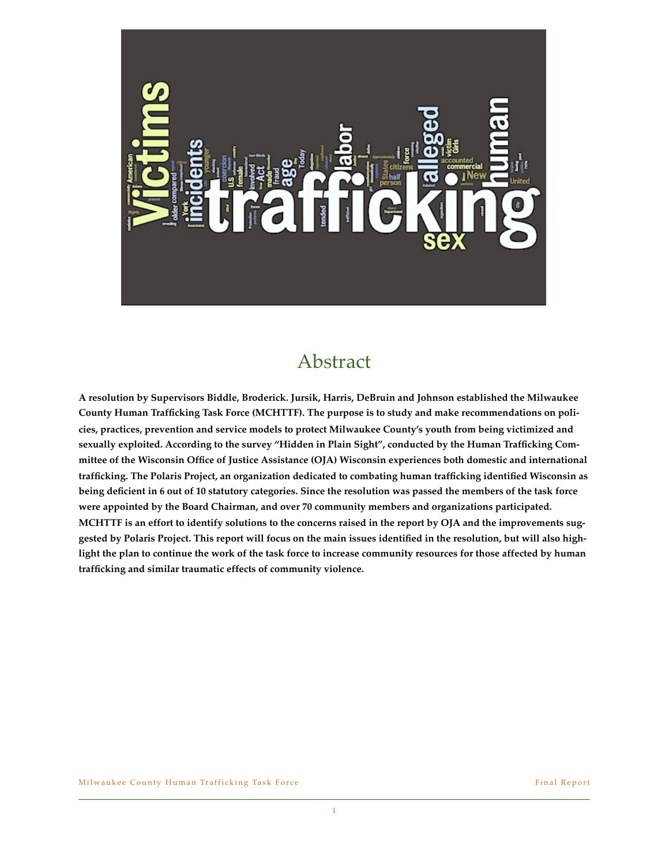

### Abstract

**A resolution by Supervisors Biddle, Broderick. Jursik, Harris, DeBruin and Johnson established the Milwaukee County Human Trafficking Task Force (MCHTTF). The purpose is to study and make recommendations on policies, practices, prevention and service models to protect Milwaukee County's youth from being victimized and sexually exploited. According to the survey "Hidden in Plain Sight", conducted by the Human Trafficking Committee of the Wisconsin Office of Justice Assistance (OJA) Wisconsin experiences both domestic and international trafficking. The Polaris Project, an organization dedicated to combating human trafficking identified Wisconsin as being deficient in 6 out of 10 statutory categories. Since the resolution was passed the members of the task force were appointed by the Board Chairman, and over 70 community members and organizations participated. MCHTTF is an effort to identify solutions to the concerns raised in the report by OJA and the improvements suggested by Polaris Project. This report will focus on the main issues identified in the resolution, but will also highlight the plan to continue the work of the task force to increase community resources for those affected by human trafficking and similar traumatic effects of community violence.**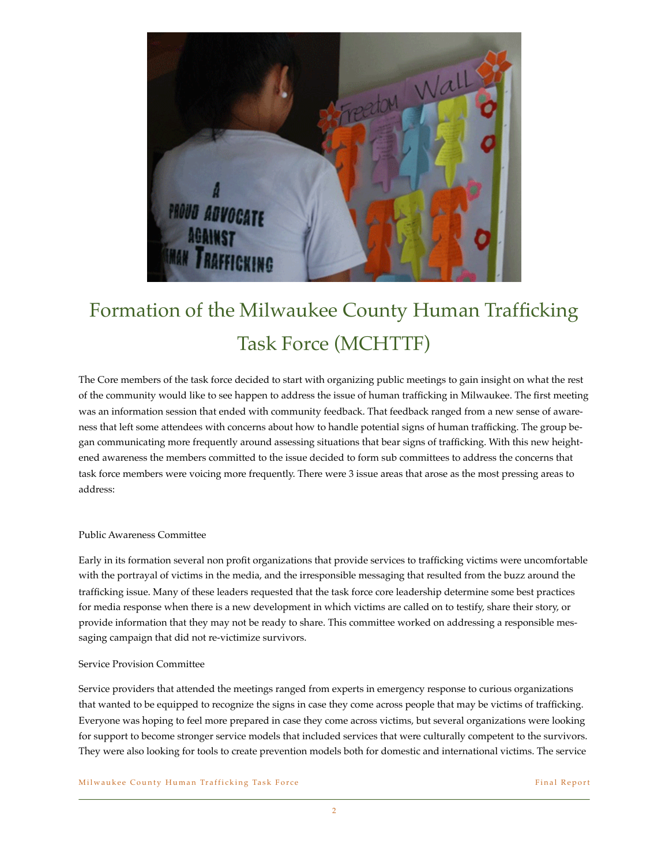

# Formation of the Milwaukee County Human Trafficking Task Force (MCHTTF)

The Core members of the task force decided to start with organizing public meetings to gain insight on what the rest of the community would like to see happen to address the issue of human trafficking in Milwaukee. The first meeting was an information session that ended with community feedback. That feedback ranged from a new sense of awareness that left some attendees with concerns about how to handle potential signs of human trafficking. The group began communicating more frequently around assessing situations that bear signs of trafficking. With this new heightened awareness the members committed to the issue decided to form sub committees to address the concerns that task force members were voicing more frequently. There were 3 issue areas that arose as the most pressing areas to address:

#### Public Awareness Committee

Early in its formation several non profit organizations that provide services to trafficking victims were uncomfortable with the portrayal of victims in the media, and the irresponsible messaging that resulted from the buzz around the trafficking issue. Many of these leaders requested that the task force core leadership determine some best practices for media response when there is a new development in which victims are called on to testify, share their story, or provide information that they may not be ready to share. This committee worked on addressing a responsible messaging campaign that did not re-victimize survivors.

#### Service Provision Committee

Service providers that attended the meetings ranged from experts in emergency response to curious organizations that wanted to be equipped to recognize the signs in case they come across people that may be victims of trafficking. Everyone was hoping to feel more prepared in case they come across victims, but several organizations were looking for support to become stronger service models that included services that were culturally competent to the survivors. They were also looking for tools to create prevention models both for domestic and international victims. The service

Milwaukee County Human Trafficking Task Force Final Report Final Report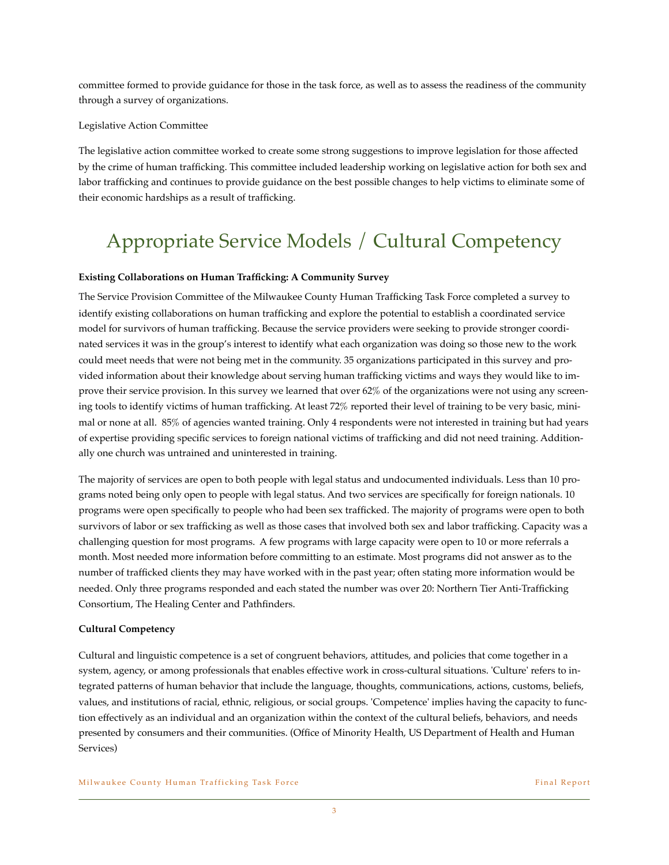committee formed to provide guidance for those in the task force, as well as to assess the readiness of the community through a survey of organizations.

#### Legislative Action Committee

The legislative action committee worked to create some strong suggestions to improve legislation for those affected by the crime of human trafficking. This committee included leadership working on legislative action for both sex and labor trafficking and continues to provide guidance on the best possible changes to help victims to eliminate some of their economic hardships as a result of trafficking.

# Appropriate Service Models / Cultural Competency

#### **Existing Collaborations on Human Trafficking: A Community Survey**

The Service Provision Committee of the Milwaukee County Human Trafficking Task Force completed a survey to identify existing collaborations on human trafficking and explore the potential to establish a coordinated service model for survivors of human trafficking. Because the service providers were seeking to provide stronger coordinated services it was in the group's interest to identify what each organization was doing so those new to the work could meet needs that were not being met in the community. 35 organizations participated in this survey and provided information about their knowledge about serving human trafficking victims and ways they would like to improve their service provision. In this survey we learned that over 62% of the organizations were not using any screening tools to identify victims of human trafficking. At least 72% reported their level of training to be very basic, minimal or none at all. 85% of agencies wanted training. Only 4 respondents were not interested in training but had years of expertise providing specific services to foreign national victims of trafficking and did not need training. Additionally one church was untrained and uninterested in training.

The majority of services are open to both people with legal status and undocumented individuals. Less than 10 programs noted being only open to people with legal status. And two services are specifically for foreign nationals. 10 programs were open specifically to people who had been sex trafficked. The majority of programs were open to both survivors of labor or sex trafficking as well as those cases that involved both sex and labor trafficking. Capacity was a challenging question for most programs. A few programs with large capacity were open to 10 or more referrals a month. Most needed more information before committing to an estimate. Most programs did not answer as to the number of trafficked clients they may have worked with in the past year; often stating more information would be needed. Only three programs responded and each stated the number was over 20: Northern Tier Anti-Trafficking Consortium, The Healing Center and Pathfinders.

#### **Cultural Competency**

Cultural and linguistic competence is a set of congruent behaviors, attitudes, and policies that come together in a system, agency, or among professionals that enables effective work in cross-cultural situations. 'Culture' refers to integrated patterns of human behavior that include the language, thoughts, communications, actions, customs, beliefs, values, and institutions of racial, ethnic, religious, or social groups. 'Competence' implies having the capacity to function effectively as an individual and an organization within the context of the cultural beliefs, behaviors, and needs presented by consumers and their communities. (Office of Minority Health, US Department of Health and Human Services)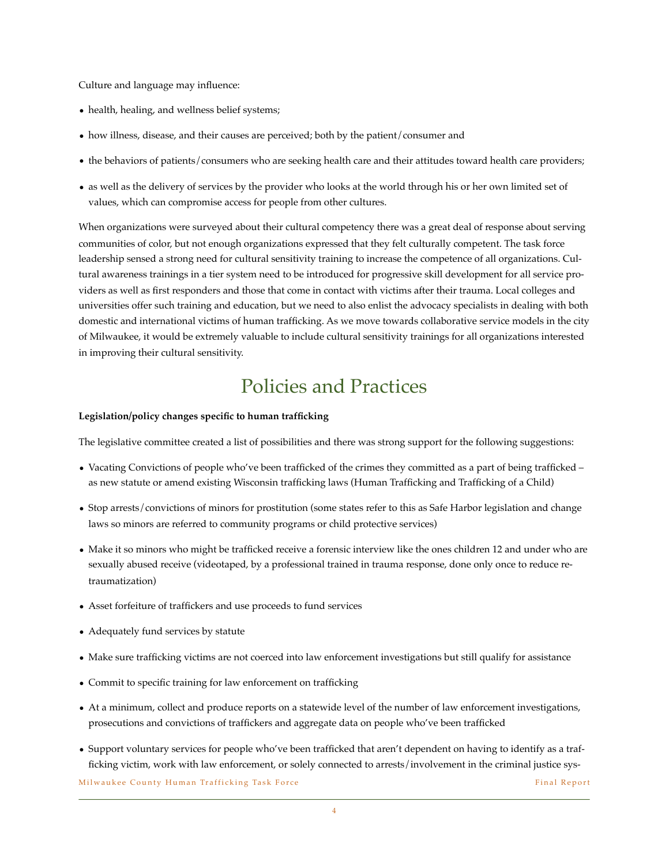Culture and language may influence:

- health, healing, and wellness belief systems;
- how illness, disease, and their causes are perceived; both by the patient/consumer and
- the behaviors of patients/consumers who are seeking health care and their attitudes toward health care providers;
- as well as the delivery of services by the provider who looks at the world through his or her own limited set of values, which can compromise access for people from other cultures.

When organizations were surveyed about their cultural competency there was a great deal of response about serving communities of color, but not enough organizations expressed that they felt culturally competent. The task force leadership sensed a strong need for cultural sensitivity training to increase the competence of all organizations. Cultural awareness trainings in a tier system need to be introduced for progressive skill development for all service providers as well as first responders and those that come in contact with victims after their trauma. Local colleges and universities offer such training and education, but we need to also enlist the advocacy specialists in dealing with both domestic and international victims of human trafficking. As we move towards collaborative service models in the city of Milwaukee, it would be extremely valuable to include cultural sensitivity trainings for all organizations interested in improving their cultural sensitivity.

### Policies and Practices

#### **Legislation/policy changes specific to human trafficking**

The legislative committee created a list of possibilities and there was strong support for the following suggestions:

- Vacating Convictions of people who've been trafficked of the crimes they committed as a part of being trafficked as new statute or amend existing Wisconsin trafficking laws (Human Trafficking and Trafficking of a Child)
- Stop arrests/convictions of minors for prostitution (some states refer to this as Safe Harbor legislation and change laws so minors are referred to community programs or child protective services)
- Make it so minors who might be trafficked receive a forensic interview like the ones children 12 and under who are sexually abused receive (videotaped, by a professional trained in trauma response, done only once to reduce retraumatization)
- Asset forfeiture of traffickers and use proceeds to fund services
- Adequately fund services by statute
- Make sure trafficking victims are not coerced into law enforcement investigations but still qualify for assistance
- Commit to specific training for law enforcement on trafficking
- At a minimum, collect and produce reports on a statewide level of the number of law enforcement investigations, prosecutions and convictions of traffickers and aggregate data on people who've been trafficked
- Support voluntary services for people who've been trafficked that aren't dependent on having to identify as a trafficking victim, work with law enforcement, or solely connected to arrests/involvement in the criminal justice sys-

Milwaukee County Human Trafficking Task Force Final Report Final Report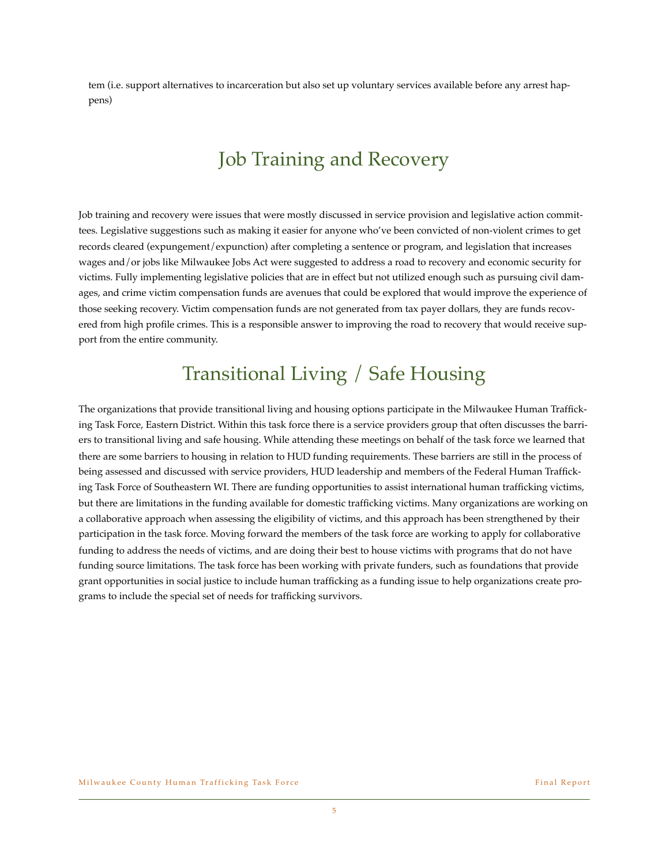tem (i.e. support alternatives to incarceration but also set up voluntary services available before any arrest happens)

# Job Training and Recovery

Job training and recovery were issues that were mostly discussed in service provision and legislative action committees. Legislative suggestions such as making it easier for anyone who've been convicted of non-violent crimes to get records cleared (expungement/expunction) after completing a sentence or program, and legislation that increases wages and/or jobs like Milwaukee Jobs Act were suggested to address a road to recovery and economic security for victims. Fully implementing legislative policies that are in effect but not utilized enough such as pursuing civil damages, and crime victim compensation funds are avenues that could be explored that would improve the experience of those seeking recovery. Victim compensation funds are not generated from tax payer dollars, they are funds recovered from high profile crimes. This is a responsible answer to improving the road to recovery that would receive support from the entire community.

### Transitional Living / Safe Housing

The organizations that provide transitional living and housing options participate in the Milwaukee Human Trafficking Task Force, Eastern District. Within this task force there is a service providers group that often discusses the barriers to transitional living and safe housing. While attending these meetings on behalf of the task force we learned that there are some barriers to housing in relation to HUD funding requirements. These barriers are still in the process of being assessed and discussed with service providers, HUD leadership and members of the Federal Human Trafficking Task Force of Southeastern WI. There are funding opportunities to assist international human trafficking victims, but there are limitations in the funding available for domestic trafficking victims. Many organizations are working on a collaborative approach when assessing the eligibility of victims, and this approach has been strengthened by their participation in the task force. Moving forward the members of the task force are working to apply for collaborative funding to address the needs of victims, and are doing their best to house victims with programs that do not have funding source limitations. The task force has been working with private funders, such as foundations that provide grant opportunities in social justice to include human trafficking as a funding issue to help organizations create programs to include the special set of needs for trafficking survivors.